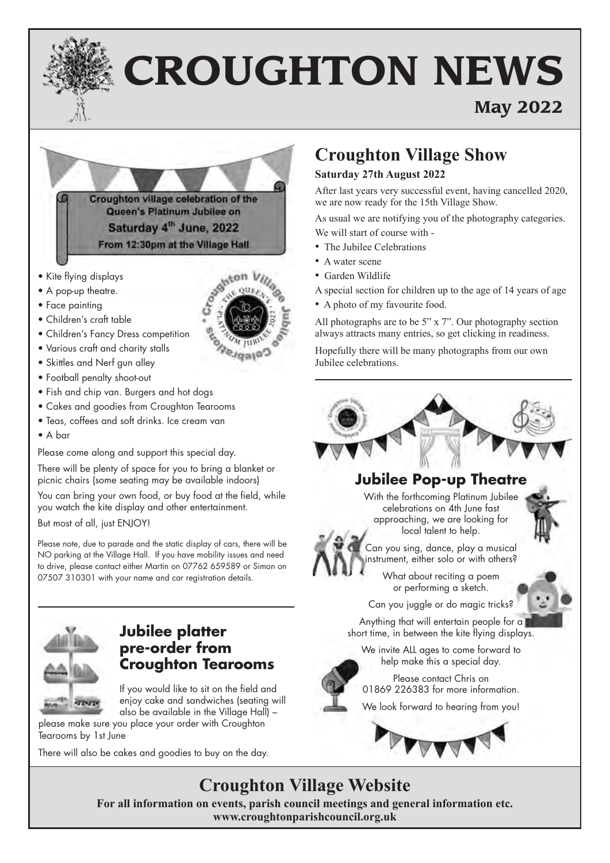# **CROUGHTON NEWS**

## **May 2022**

Croughton village celebration of the Queen's Platinum Jubilee on Saturday 4<sup>th</sup> June, 2022 From 12:30pm at the Village Hall

- Kite flying displays
- A pop-up theatre.
- Face painting
- Children's craft table
- Children's Fancy Dress competition
- Various craft and charity stalls
- Skittles and Nerf gun alley
- Football penalty shoot-out
- Fish and chip van. Burgers and hot dogs
- Cakes and goodies from Croughton Tearooms
- Teas, coffees and soft drinks. Ice cream van
- A bar

Please come along and support this special day.

There will be plenty of space for you to bring a blanket or picnic chairs (some seating may be available indoors)

You can bring your own food, or buy food at the field, while you watch the kite display and other entertainment. But most of all, just ENJOY!

Please note, due to parade and the static display of cars, there will be NO parking at the Village Hall. If you have mobility issues and need to drive, please contact either Martin on 07762 659589 or Simon on 07507 310301 with your name and car registration details.



#### **Jubilee platter pre-order from Croughton Tearooms**

If you would like to sit on the field and enjoy cake and sandwiches (seating will also be available in the Village Hall) –

please make sure you place your order with Croughton Tearooms by 1st June

There will also be cakes and goodies to buy on the day.

## **Croughton Village Show**

#### **Saturday 27th August 2022**

After last years very successful event, having cancelled 2020, we are now ready for the 15th Village Show.

As usual we are notifying you of the photography categories. We will start of course with -

- The Jubilee Celebrations
- A water scene
- Garden Wildlife
- A special section for children up to the age of 14 years of age
- A photo of my favourite food.

All photographs are to be 5" x 7". Our photography section always attracts many entries, so get clicking in readiness.

Hopefully there will be many photographs from our own Jubilee celebrations.

### **Jubilee Pop-up Theatre**

With the forthcoming Platinum Jubilee celebrations on 4th June fast approaching, we are looking for local talent to help.

Can you sing, dance, play a musical instrument, either solo or with others?

What about reciting a poem or performing a sketch.

Can you juggle or do magic tricks?

Anything that will entertain people for a short time, in between the kite flying displays.

We invite ALL ages to come forward to help make this a special day.



Please contact Chris on 01869 226383 for more information.

We look forward to hearing from you!



## **Croughton Village Website**

**For all information on events, parish council meetings and general information etc. www.croughtonparishcouncil.org.uk** 

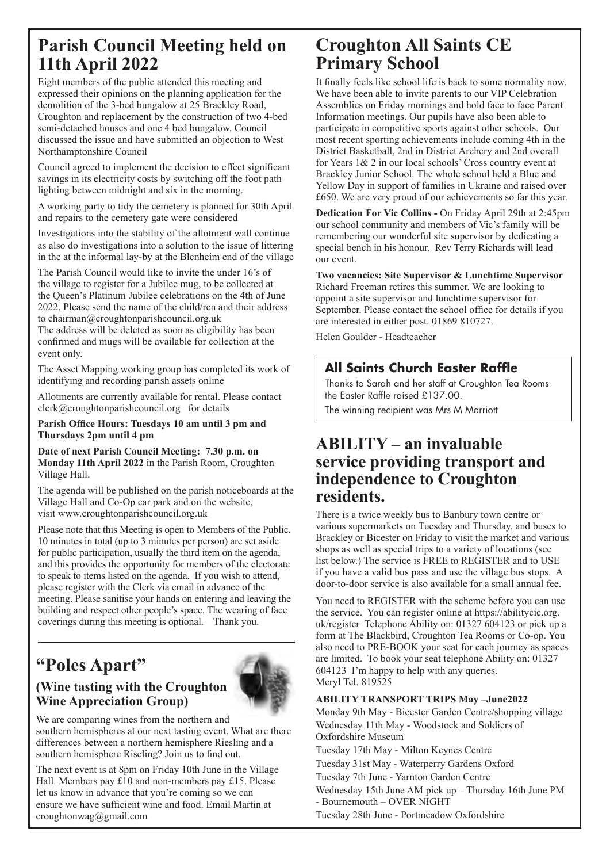## **Parish Council Meeting held on 11th April 2022**

Eight members of the public attended this meeting and expressed their opinions on the planning application for the demolition of the 3-bed bungalow at 25 Brackley Road, Croughton and replacement by the construction of two 4-bed semi-detached houses and one 4 bed bungalow. Council discussed the issue and have submitted an objection to West Northamptonshire Council

Council agreed to implement the decision to effect significant savings in its electricity costs by switching off the foot path lighting between midnight and six in the morning.

A working party to tidy the cemetery is planned for 30th April and repairs to the cemetery gate were considered

Investigations into the stability of the allotment wall continue as also do investigations into a solution to the issue of littering in the at the informal lay-by at the Blenheim end of the village

The Parish Council would like to invite the under 16's of the village to register for a Jubilee mug, to be collected at the Queen's Platinum Jubilee celebrations on the 4th of June 2022. Please send the name of the child/ren and their address to chairman@croughtonparishcouncil.org.uk

The address will be deleted as soon as eligibility has been confirmed and mugs will be available for collection at the event only.

The Asset Mapping working group has completed its work of identifying and recording parish assets online

Allotments are currently available for rental. Please contact clerk@croughtonparishcouncil.org for details

**Parish Office Hours: Tuesdays 10 am until 3 pm and Thursdays 2pm until 4 pm**

**Date of next Parish Council Meeting: 7.30 p.m. on Monday 11th April 2022** in the Parish Room, Croughton Village Hall.

The agenda will be published on the parish noticeboards at the Village Hall and Co-Op car park and on the website, visit www.croughtonparishcouncil.org.uk

Please note that this Meeting is open to Members of the Public. 10 minutes in total (up to 3 minutes per person) are set aside for public participation, usually the third item on the agenda, and this provides the opportunity for members of the electorate to speak to items listed on the agenda. If you wish to attend, please register with the Clerk via email in advance of the meeting. Please sanitise your hands on entering and leaving the building and respect other people's space. The wearing of face coverings during this meeting is optional. Thank you.

## **"Poles Apart"**

#### **(Wine tasting with the Croughton Wine Appreciation Group)**



We are comparing wines from the northern and southern hemispheres at our next tasting event. What are there differences between a northern hemisphere Riesling and a southern hemisphere Riseling? Join us to find out.

The next event is at 8pm on Friday 10th June in the Village Hall. Members pay £10 and non-members pay £15. Please let us know in advance that you're coming so we can ensure we have sufficient wine and food. Email Martin at croughtonwag@gmail.com

## **Croughton All Saints CE Primary School**

It finally feels like school life is back to some normality now. We have been able to invite parents to our VIP Celebration Assemblies on Friday mornings and hold face to face Parent Information meetings. Our pupils have also been able to participate in competitive sports against other schools. Our most recent sporting achievements include coming 4th in the District Basketball, 2nd in District Archery and 2nd overall for Years 1& 2 in our local schools' Cross country event at Brackley Junior School. The whole school held a Blue and Yellow Day in support of families in Ukraine and raised over £650. We are very proud of our achievements so far this year.

**Dedication For Vic Collins -** On Friday April 29th at 2:45pm our school community and members of Vic's family will be remembering our wonderful site supervisor by dedicating a special bench in his honour. Rev Terry Richards will lead our event.

**Two vacancies: Site Supervisor & Lunchtime Supervisor** Richard Freeman retires this summer. We are looking to appoint a site supervisor and lunchtime supervisor for September. Please contact the school office for details if you are interested in either post. 01869 810727.

Helen Goulder - Headteacher

#### **All Saints Church Easter Raffle**

Thanks to Sarah and her staff at Croughton Tea Rooms the Easter Raffle raised £137.00.

The winning recipient was Mrs M Marriott

### **ABILITY – an invaluable service providing transport and independence to Croughton residents.**

There is a twice weekly bus to Banbury town centre or various supermarkets on Tuesday and Thursday, and buses to Brackley or Bicester on Friday to visit the market and various shops as well as special trips to a variety of locations (see list below.) The service is FREE to REGISTER and to USE if you have a valid bus pass and use the village bus stops. A door-to-door service is also available for a small annual fee.

You need to REGISTER with the scheme before you can use the service. You can register online at https://abilitycic.org. uk/register Telephone Ability on: 01327 604123 or pick up a form at The Blackbird, Croughton Tea Rooms or Co-op. You also need to PRE-BOOK your seat for each journey as spaces are limited. To book your seat telephone Ability on: 01327 604123 I'm happy to help with any queries. Meryl Tel. 819525

#### **ABILITY TRANSPORT TRIPS May –June2022**

Monday 9th May - Bicester Garden Centre/shopping village Wednesday 11th May - Woodstock and Soldiers of Oxfordshire Museum

Tuesday 17th May - Milton Keynes Centre

Tuesday 31st May - Waterperry Gardens Oxford

Tuesday 7th June - Yarnton Garden Centre

Wednesday 15th June AM pick up – Thursday 16th June PM - Bournemouth – OVER NIGHT

Tuesday 28th June - Portmeadow Oxfordshire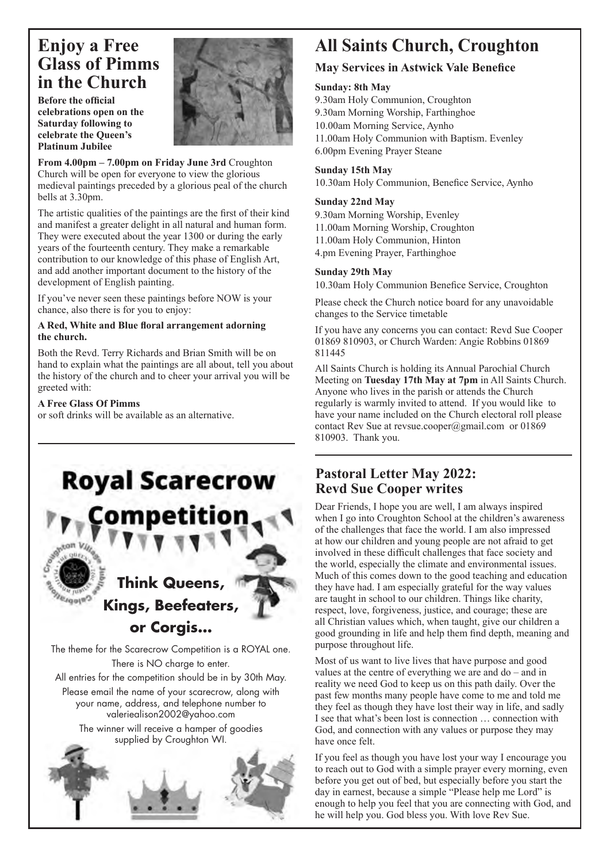## **Enjoy a Free Glass of Pimms in the Church**

**Before the official celebrations open on the Saturday following to celebrate the Queen's Platinum Jubilee**



**From 4.00pm – 7.00pm on Friday June 3rd** Croughton Church will be open for everyone to view the glorious medieval paintings preceded by a glorious peal of the church bells at 3.30pm.

The artistic qualities of the paintings are the first of their kind and manifest a greater delight in all natural and human form. They were executed about the year 1300 or during the early years of the fourteenth century. They make a remarkable contribution to our knowledge of this phase of English Art, and add another important document to the history of the development of English painting.

If you've never seen these paintings before NOW is your chance, also there is for you to enjoy:

#### **A Red, White and Blue floral arrangement adorning the church.**

Both the Revd. Terry Richards and Brian Smith will be on hand to explain what the paintings are all about, tell you about the history of the church and to cheer your arrival you will be greeted with:

#### **A Free Glass Of Pimms**

or soft drinks will be available as an alternative.



## **All Saints Church, Croughton**

#### **May Services in Astwick Vale Benefice**

#### **Sunday: 8th May**

9.30am Holy Communion, Croughton 9.30am Morning Worship, Farthinghoe 10.00am Morning Service, Aynho 11.00am Holy Communion with Baptism. Evenley 6.00pm Evening Prayer Steane

#### **Sunday 15th May**

10.30am Holy Communion, Benefice Service, Aynho

#### **Sunday 22nd May**

9.30am Morning Worship, Evenley 11.00am Morning Worship, Croughton 11.00am Holy Communion, Hinton 4.pm Evening Prayer, Farthinghoe

#### **Sunday 29th May**

10.30am Holy Communion Benefice Service, Croughton

Please check the Church notice board for any unavoidable changes to the Service timetable

If you have any concerns you can contact: Revd Sue Cooper 01869 810903, or Church Warden: Angie Robbins 01869 811445

All Saints Church is holding its Annual Parochial Church Meeting on **Tuesday 17th May at 7pm** in All Saints Church. Anyone who lives in the parish or attends the Church regularly is warmly invited to attend. If you would like to have your name included on the Church electoral roll please contact Rev Sue at revsue.cooper@gmail.com or 01869 810903. Thank you.

#### **Pastoral Letter May 2022: Revd Sue Cooper writes**

Dear Friends, I hope you are well, I am always inspired when I go into Croughton School at the children's awareness of the challenges that face the world. I am also impressed at how our children and young people are not afraid to get involved in these difficult challenges that face society and the world, especially the climate and environmental issues. Much of this comes down to the good teaching and education they have had. I am especially grateful for the way values are taught in school to our children. Things like charity, respect, love, forgiveness, justice, and courage; these are all Christian values which, when taught, give our children a good grounding in life and help them find depth, meaning and purpose throughout life.

Most of us want to live lives that have purpose and good values at the centre of everything we are and do – and in reality we need God to keep us on this path daily. Over the past few months many people have come to me and told me they feel as though they have lost their way in life, and sadly I see that what's been lost is connection … connection with God, and connection with any values or purpose they may have once felt.

If you feel as though you have lost your way I encourage you to reach out to God with a simple prayer every morning, even before you get out of bed, but especially before you start the day in earnest, because a simple "Please help me Lord" is enough to help you feel that you are connecting with God, and he will help you. God bless you. With love Rev Sue.